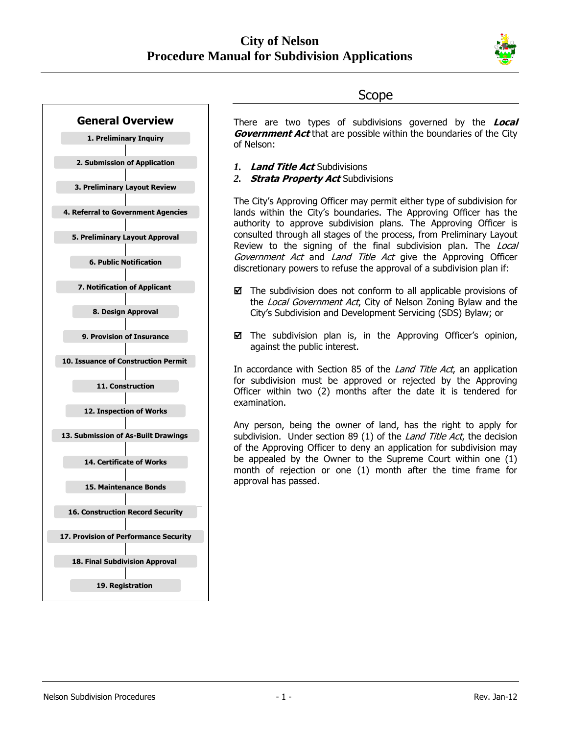

# **General Overview 1. Preliminary Inquiry 2. Submission of Application 3. Preliminary Layout Review 4. Referral to Government Agencies 5. Preliminary Layout Approval 6. Public Notification 7. Notification of Applicant 8. Design Approval 9. Provision of Insurance 10. Issuance of Construction Permit 11. Construction 12. Inspection of Works 13. Submission of As-Built Drawings 14. Certificate of Works 15. Maintenance Bonds 16. Construction Record Security 17. Provision of Performance Security 18. Final Subdivision Approval 19. Registration**

# Scope

There are two types of subdivisions governed by the **Local Government Act** that are possible within the boundaries of the City of Nelson:

- *1.* **Land Title Act** Subdivisions
- *2.* **Strata Property Act** Subdivisions

The City's Approving Officer may permit either type of subdivision for lands within the City's boundaries. The Approving Officer has the authority to approve subdivision plans. The Approving Officer is consulted through all stages of the process, from Preliminary Layout Review to the signing of the final subdivision plan. The Local Government Act and Land Title Act give the Approving Officer discretionary powers to refuse the approval of a subdivision plan if:

- $\boxtimes$  The subdivision does not conform to all applicable provisions of the Local Government Act, City of Nelson Zoning Bylaw and the City's Subdivision and Development Servicing (SDS) Bylaw; or
- $\boxtimes$  The subdivision plan is, in the Approving Officer's opinion, against the public interest.

In accordance with Section 85 of the *Land Title Act*, an application for subdivision must be approved or rejected by the Approving Officer within two (2) months after the date it is tendered for examination.

Any person, being the owner of land, has the right to apply for subdivision. Under section 89 (1) of the *Land Title Act*, the decision of the Approving Officer to deny an application for subdivision may be appealed by the Owner to the Supreme Court within one (1) month of rejection or one (1) month after the time frame for approval has passed.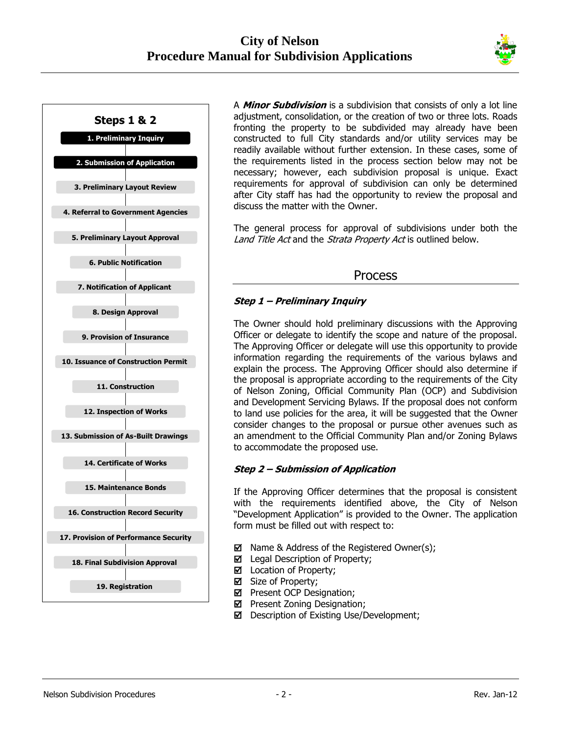



A **Minor Subdivision** is a subdivision that consists of only a lot line adjustment, consolidation, or the creation of two or three lots. Roads fronting the property to be subdivided may already have been constructed to full City standards and/or utility services may be readily available without further extension. In these cases, some of the requirements listed in the process section below may not be necessary; however, each subdivision proposal is unique. Exact requirements for approval of subdivision can only be determined after City staff has had the opportunity to review the proposal and discuss the matter with the Owner.

The general process for approval of subdivisions under both the Land Title Act and the Strata Property Act is outlined below.

## Process

## **Step 1 – Preliminary Inquiry**

The Owner should hold preliminary discussions with the Approving Officer or delegate to identify the scope and nature of the proposal. The Approving Officer or delegate will use this opportunity to provide information regarding the requirements of the various bylaws and explain the process. The Approving Officer should also determine if the proposal is appropriate according to the requirements of the City of Nelson Zoning, Official Community Plan (OCP) and Subdivision and Development Servicing Bylaws. If the proposal does not conform to land use policies for the area, it will be suggested that the Owner consider changes to the proposal or pursue other avenues such as an amendment to the Official Community Plan and/or Zoning Bylaws to accommodate the proposed use.

## **Step 2 – Submission of Application**

If the Approving Officer determines that the proposal is consistent with the requirements identified above, the City of Nelson "Development Application" is provided to the Owner. The application form must be filled out with respect to:

- $\boxtimes$  Name & Address of the Registered Owner(s);
- Legal Description of Property;
- Location of Property;
- Size of Property;
- $\boxtimes$  Present OCP Designation;
- $\boxtimes$  Present Zoning Designation;
- Description of Existing Use/Development;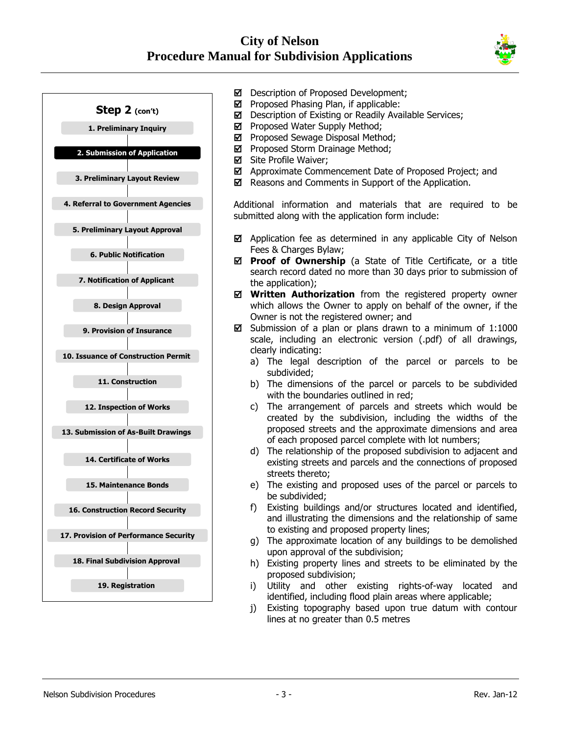



- Description of Proposed Development;
- $\boxtimes$  Proposed Phasing Plan, if applicable:
- Description of Existing or Readily Available Services;
- $\boxtimes$  Proposed Water Supply Method;
- $\boxtimes$  Proposed Sewage Disposal Method;
- **P** Proposed Storm Drainage Method;
- **Ø** Site Profile Waiver;
- Approximate Commencement Date of Proposed Project; and
- $\boxtimes$  Reasons and Comments in Support of the Application.

Additional information and materials that are required to be submitted along with the application form include:

- $\boxtimes$  Application fee as determined in any applicable City of Nelson Fees & Charges Bylaw;
- $\boxtimes$  **Proof of Ownership** (a State of Title Certificate, or a title search record dated no more than 30 days prior to submission of the application);
- **Written Authorization** from the registered property owner which allows the Owner to apply on behalf of the owner, if the Owner is not the registered owner; and
- $\boxtimes$  Submission of a plan or plans drawn to a minimum of 1:1000 scale, including an electronic version (.pdf) of all drawings, clearly indicating:
	- a) The legal description of the parcel or parcels to be subdivided;
	- b) The dimensions of the parcel or parcels to be subdivided with the boundaries outlined in red;
	- c) The arrangement of parcels and streets which would be created by the subdivision, including the widths of the proposed streets and the approximate dimensions and area of each proposed parcel complete with lot numbers;
	- d) The relationship of the proposed subdivision to adjacent and existing streets and parcels and the connections of proposed streets thereto;
	- e) The existing and proposed uses of the parcel or parcels to be subdivided;
	- f) Existing buildings and/or structures located and identified, and illustrating the dimensions and the relationship of same to existing and proposed property lines;
	- g) The approximate location of any buildings to be demolished upon approval of the subdivision;
	- h) Existing property lines and streets to be eliminated by the proposed subdivision;
	- i) Utility and other existing rights-of-way located and identified, including flood plain areas where applicable;
	- j) Existing topography based upon true datum with contour lines at no greater than 0.5 metres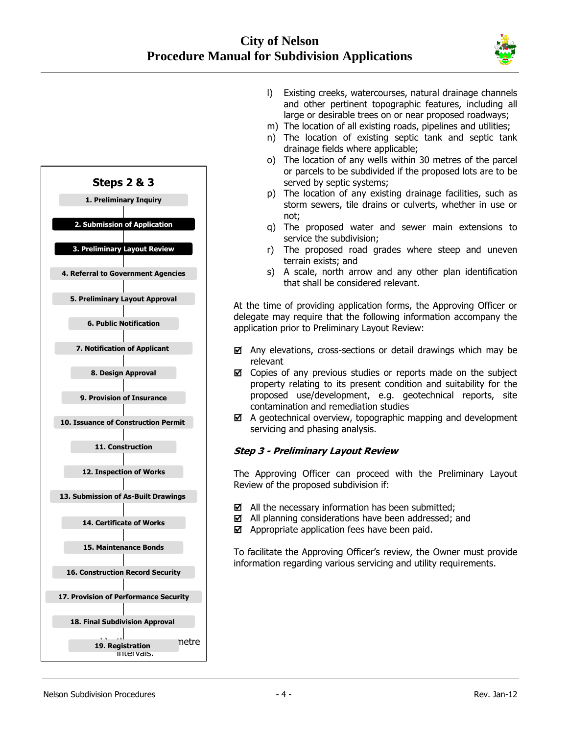



- l) Existing creeks, watercourses, natural drainage channels and other pertinent topographic features, including all large or desirable trees on or near proposed roadways;
- m) The location of all existing roads, pipelines and utilities;
- n) The location of existing septic tank and septic tank drainage fields where applicable;
- o) The location of any wells within 30 metres of the parcel or parcels to be subdivided if the proposed lots are to be served by septic systems;
- p) The location of any existing drainage facilities, such as storm sewers, tile drains or culverts, whether in use or not;
- q) The proposed water and sewer main extensions to service the subdivision;
- r) The proposed road grades where steep and uneven terrain exists; and
- s) A scale, north arrow and any other plan identification that shall be considered relevant.

At the time of providing application forms, the Approving Officer or delegate may require that the following information accompany the application prior to Preliminary Layout Review:

- $\boxtimes$  Any elevations, cross-sections or detail drawings which may be relevant
- Copies of any previous studies or reports made on the subject property relating to its present condition and suitability for the proposed use/development, e.g. geotechnical reports, site contamination and remediation studies
- $\boxtimes$  A geotechnical overview, topographic mapping and development servicing and phasing analysis.

#### **Step 3 - Preliminary Layout Review**

The Approving Officer can proceed with the Preliminary Layout Review of the proposed subdivision if:

- $\boxtimes$  All the necessary information has been submitted;
- All planning considerations have been addressed; and
- $\boxtimes$  Appropriate application fees have been paid.

To facilitate the Approving Officer's review, the Owner must provide information regarding various servicing and utility requirements.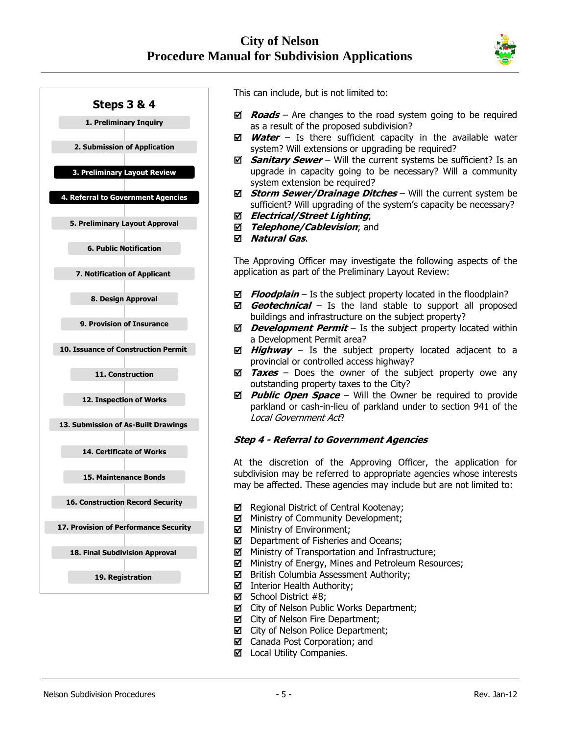



This can include, but is not limited to:

- **Roads** Are changes to the road system going to be required as a result of the proposed subdivision?
- **Water** Is there sufficient capacity in the available water system? Will extensions or upgrading be required?
- **Sanitary Sewer** Will the current systems be sufficient? Is an upgrade in capacity going to be necessary? Will a community system extension be required?
- **Storm Sewer/Drainage Ditches** Will the current system be sufficient? Will upgrading of the system's capacity be necessary?
- **Electrical/Street Lighting**;
- *Telephone/Cablevision*; and
- **Natural Gas**.

The Approving Officer may investigate the following aspects of the application as part of the Preliminary Layout Review:

- **Floodplain** Is the subject property located in the floodplain?
- **Geotechnical** Is the land stable to support all proposed buildings and infrastructure on the subject property?
- *Development Permit* Is the subject property located within a Development Permit area?
- $\boxtimes$  **Highway** Is the subject property located adjacent to a provincial or controlled access highway?
- $\overline{Y}$  **<b>Taxes** Does the owner of the subject property owe any outstanding property taxes to the City?
- **Public Open Space** Will the Owner be required to provide parkland or cash-in-lieu of parkland under to section 941 of the Local Government Act?

#### **Step 4 - Referral to Government Agencies**

At the discretion of the Approving Officer, the application for subdivision may be referred to appropriate agencies whose interests may be affected. These agencies may include but are not limited to:

- Regional District of Central Kootenay;
- Ministry of Community Development;
- Ministry of Environment;
- Department of Fisheries and Oceans;
- Ministry of Transportation and Infrastructure;
- **M** Ministry of Energy, Mines and Petroleum Resources;
- $\boxtimes$  British Columbia Assessment Authority;
- Interior Health Authority:
- $\boxtimes$  School District #8;
- $\boxtimes$  City of Nelson Public Works Department;
- $\boxtimes$  City of Nelson Fire Department;
- $\boxtimes$  City of Nelson Police Department;
- Canada Post Corporation; and
- $\boxtimes$  Local Utility Companies.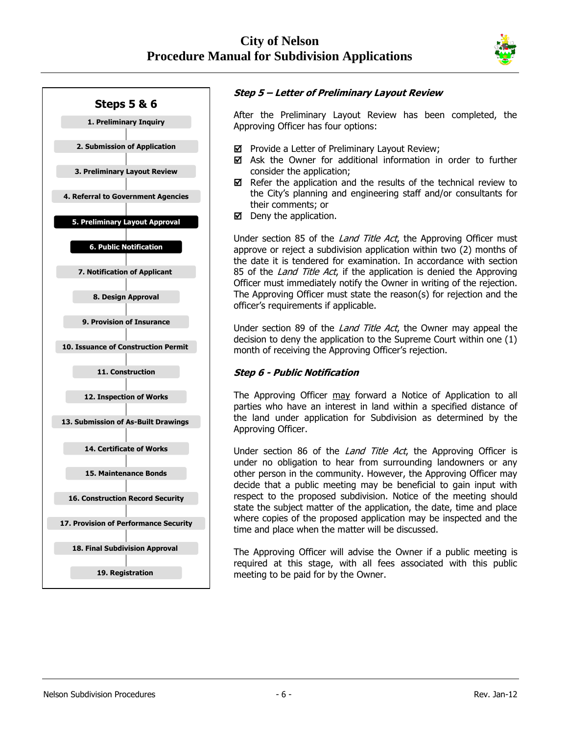



### **Step 5 – Letter of Preliminary Layout Review**

After the Preliminary Layout Review has been completed, the Approving Officer has four options:

- $\boxtimes$  Provide a Letter of Preliminary Layout Review;
- $\boxtimes$  Ask the Owner for additional information in order to further consider the application;
- $\boxtimes$  Refer the application and the results of the technical review to the City's planning and engineering staff and/or consultants for their comments; or
- $\boxtimes$  Deny the application.

Under section 85 of the *Land Title Act*, the Approving Officer must approve or reject a subdivision application within two (2) months of the date it is tendered for examination. In accordance with section 85 of the *Land Title Act*, if the application is denied the Approving Officer must immediately notify the Owner in writing of the rejection. The Approving Officer must state the reason(s) for rejection and the officer's requirements if applicable.

Under section 89 of the *Land Title Act*, the Owner may appeal the decision to deny the application to the Supreme Court within one (1) month of receiving the Approving Officer's rejection.

#### **Step 6 - Public Notification**

The Approving Officer may forward a Notice of Application to all parties who have an interest in land within a specified distance of the land under application for Subdivision as determined by the Approving Officer.

Under section 86 of the *Land Title Act*, the Approving Officer is under no obligation to hear from surrounding landowners or any other person in the community. However, the Approving Officer may decide that a public meeting may be beneficial to gain input with respect to the proposed subdivision. Notice of the meeting should state the subject matter of the application, the date, time and place where copies of the proposed application may be inspected and the time and place when the matter will be discussed.

The Approving Officer will advise the Owner if a public meeting is required at this stage, with all fees associated with this public meeting to be paid for by the Owner.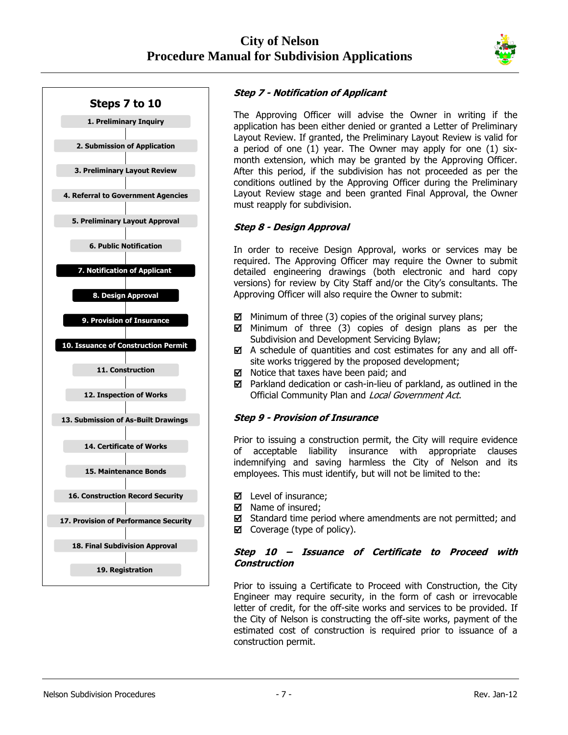



## **Step 7 - Notification of Applicant**

The Approving Officer will advise the Owner in writing if the application has been either denied or granted a Letter of Preliminary Layout Review. If granted, the Preliminary Layout Review is valid for a period of one (1) year. The Owner may apply for one (1) sixmonth extension, which may be granted by the Approving Officer. After this period, if the subdivision has not proceeded as per the conditions outlined by the Approving Officer during the Preliminary Layout Review stage and been granted Final Approval, the Owner must reapply for subdivision.

## **Step 8 - Design Approval**

In order to receive Design Approval, works or services may be required. The Approving Officer may require the Owner to submit detailed engineering drawings (both electronic and hard copy versions) for review by City Staff and/or the City's consultants. The Approving Officer will also require the Owner to submit:

- $\boxtimes$  Minimum of three (3) copies of the original survey plans;
- $\boxtimes$  Minimum of three (3) copies of design plans as per the Subdivision and Development Servicing Bylaw;
- $\boxtimes$  A schedule of quantities and cost estimates for any and all offsite works triggered by the proposed development;
- $\boxtimes$  Notice that taxes have been paid; and
- $\boxtimes$  Parkland dedication or cash-in-lieu of parkland, as outlined in the Official Community Plan and Local Government Act.

#### **Step 9 - Provision of Insurance**

Prior to issuing a construction permit, the City will require evidence of acceptable liability insurance with appropriate clauses indemnifying and saving harmless the City of Nelson and its employees. This must identify, but will not be limited to the:

- Level of insurance;
- $\boxtimes$  Name of insured;
- $\boxtimes$  Standard time period where amendments are not permitted; and
- $\boxtimes$  Coverage (type of policy).

#### **Step 10 – Issuance of Certificate to Proceed with Construction**

Prior to issuing a Certificate to Proceed with Construction, the City Engineer may require security, in the form of cash or irrevocable letter of credit, for the off-site works and services to be provided. If the City of Nelson is constructing the off-site works, payment of the estimated cost of construction is required prior to issuance of a construction permit.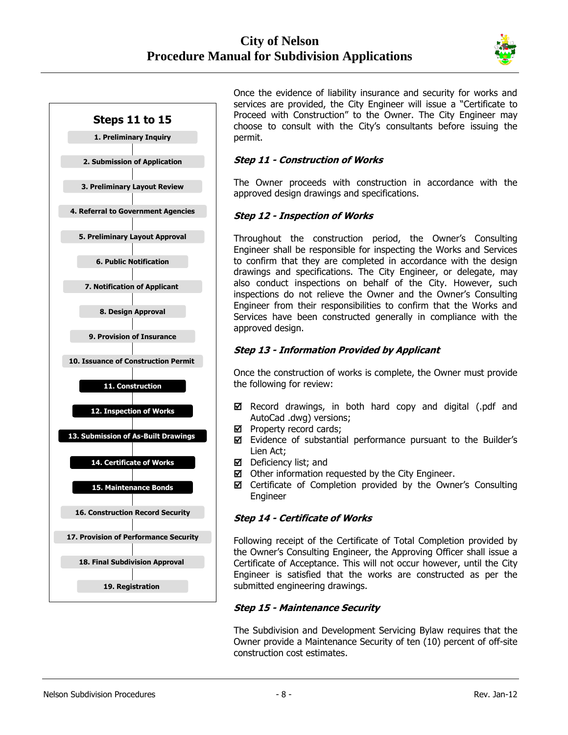



Once the evidence of liability insurance and security for works and services are provided, the City Engineer will issue a "Certificate to Proceed with Construction" to the Owner. The City Engineer may choose to consult with the City's consultants before issuing the permit.

#### **Step 11 - Construction of Works**

The Owner proceeds with construction in accordance with the approved design drawings and specifications.

#### **Step 12 - Inspection of Works**

Throughout the construction period, the Owner's Consulting Engineer shall be responsible for inspecting the Works and Services to confirm that they are completed in accordance with the design drawings and specifications. The City Engineer, or delegate, may also conduct inspections on behalf of the City. However, such inspections do not relieve the Owner and the Owner's Consulting Engineer from their responsibilities to confirm that the Works and Services have been constructed generally in compliance with the approved design.

#### **Step 13 - Information Provided by Applicant**

Once the construction of works is complete, the Owner must provide the following for review:

- $\boxtimes$  Record drawings, in both hard copy and digital (.pdf and AutoCad .dwg) versions;
- $\boxtimes$  Property record cards;
- Evidence of substantial performance pursuant to the Builder's Lien Act;
- Deficiency list; and
- $\boxtimes$  Other information requested by the City Engineer.
- Certificate of Completion provided by the Owner's Consulting Engineer

#### **Step 14 - Certificate of Works**

Following receipt of the Certificate of Total Completion provided by the Owner's Consulting Engineer, the Approving Officer shall issue a Certificate of Acceptance. This will not occur however, until the City Engineer is satisfied that the works are constructed as per the submitted engineering drawings.

#### **Step 15 - Maintenance Security**

The Subdivision and Development Servicing Bylaw requires that the Owner provide a Maintenance Security of ten (10) percent of off-site construction cost estimates.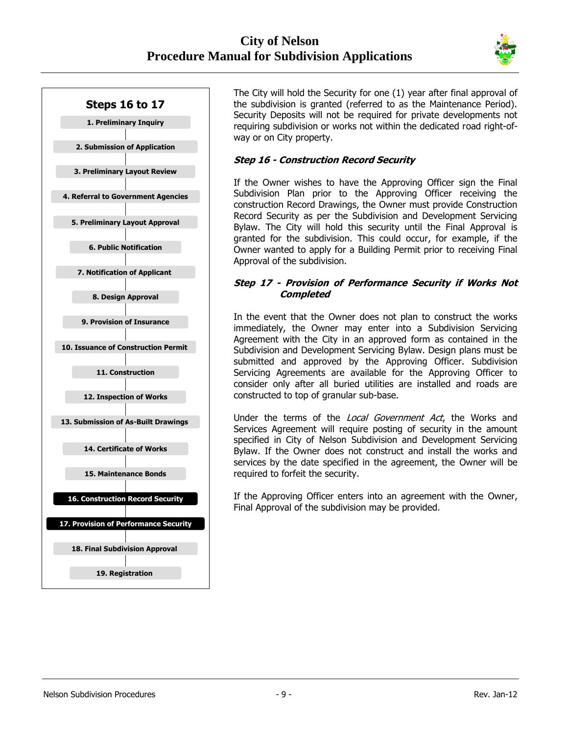



The City will hold the Security for one (1) year after final approval of the subdivision is granted (referred to as the Maintenance Period). Security Deposits will not be required for private developments not requiring subdivision or works not within the dedicated road right-ofway or on City property.

#### **Step 16 - Construction Record Security**

If the Owner wishes to have the Approving Officer sign the Final Subdivision Plan prior to the Approving Officer receiving the construction Record Drawings, the Owner must provide Construction Record Security as per the Subdivision and Development Servicing Bylaw. The City will hold this security until the Final Approval is granted for the subdivision. This could occur, for example, if the Owner wanted to apply for a Building Permit prior to receiving Final Approval of the subdivision.

#### **Step 17 - Provision of Performance Security if Works Not Completed**

In the event that the Owner does not plan to construct the works immediately, the Owner may enter into a Subdivision Servicing Agreement with the City in an approved form as contained in the Subdivision and Development Servicing Bylaw. Design plans must be submitted and approved by the Approving Officer. Subdivision Servicing Agreements are available for the Approving Officer to consider only after all buried utilities are installed and roads are constructed to top of granular sub-base.

Under the terms of the Local Government Act, the Works and Services Agreement will require posting of security in the amount specified in City of Nelson Subdivision and Development Servicing Bylaw. If the Owner does not construct and install the works and services by the date specified in the agreement, the Owner will be required to forfeit the security.

If the Approving Officer enters into an agreement with the Owner, Final Approval of the subdivision may be provided.